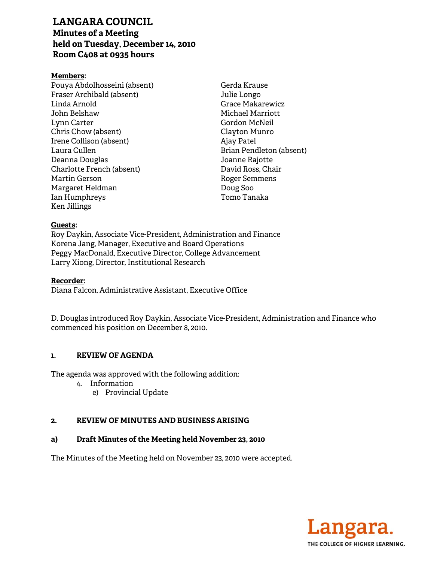# **LANGARA COUNCIL Minutes of a Meeting held on Tuesday, December 14, 2010 Room C408 at 0935 hours**

### **Members:**

Pouya Abdolhosseini (absent) Fraser Archibald (absent) Linda Arnold John Belshaw Lynn Carter Chris Chow (absent) Irene Collison (absent) Laura Cullen Deanna Douglas Charlotte French (absent) Martin Gerson Margaret Heldman Ian Humphreys Ken Jillings

Gerda Krause Julie Longo Grace Makarewicz Michael Marriott Gordon McNeil Clayton Munro Ajay Patel Brian Pendleton (absent) Joanne Rajotte David Ross, Chair Roger Semmens Doug Soo Tomo Tanaka

#### **Guests:**

Roy Daykin, Associate Vice-President, Administration and Finance Korena Jang, Manager, Executive and Board Operations Peggy MacDonald, Executive Director, College Advancement Larry Xiong, Director, Institutional Research

#### **Recorder:**

Diana Falcon, Administrative Assistant, Executive Office

D. Douglas introduced Roy Daykin, Associate Vice-President, Administration and Finance who commenced his position on December 8, 2010.

#### **1. REVIEW OF AGENDA**

The agenda was approved with the following addition:

- 4. Information
	- e) Provincial Update

#### **2. REVIEW OF MINUTES AND BUSINESS ARISING**

#### **a) Draft Minutes of the Meeting held November 23, 2010**

The Minutes of the Meeting held on November 23, 2010 were accepted.

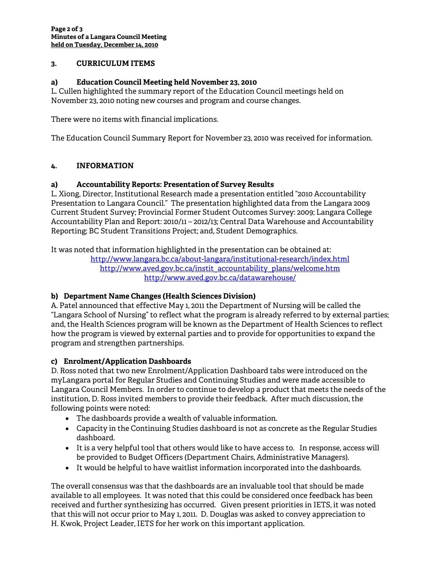### **3. CURRICULUM ITEMS**

### **a) Education Council Meeting held November 23, 2010**

L. Cullen highlighted the summary report of the Education Council meetings held on November 23, 2010 noting new courses and program and course changes.

There were no items with financial implications.

The Education Council Summary Report for November 23, 2010 was received for information.

## **4. INFORMATION**

### **a) Accountability Reports: Presentation of Survey Results**

L. Xiong, Director, Institutional Research made a presentation entitled "2010 Accountability Presentation to Langara Council." The presentation highlighted data from the Langara 2009 Current Student Survey; Provincial Former Student Outcomes Survey: 2009; Langara College Accountability Plan and Report: 2010/11 – 2012/13; Central Data Warehouse and Accountability Reporting; BC Student Transitions Project; and, Student Demographics.

It was noted that information highlighted in the presentation can be obtained at:

http://www.langara.bc.ca/about-langara/institutional-research/index.html http://www.aved.gov.bc.ca/instit\_accountability\_plans/welcome.htm http://www.aved.gov.bc.ca/datawarehouse/

### **b) Department Name Changes (Health Sciences Division)**

A. Patel announced that effective May 1, 2011 the Department of Nursing will be called the "Langara School of Nursing" to reflect what the program is already referred to by external parties; and, the Health Sciences program will be known as the Department of Health Sciences to reflect how the program is viewed by external parties and to provide for opportunities to expand the program and strengthen partnerships.

### **c) Enrolment/Application Dashboards**

D. Ross noted that two new Enrolment/Application Dashboard tabs were introduced on the myLangara portal for Regular Studies and Continuing Studies and were made accessible to Langara Council Members. In order to continue to develop a product that meets the needs of the institution, D. Ross invited members to provide their feedback. After much discussion, the following points were noted:

- The dashboards provide a wealth of valuable information.
- Capacity in the Continuing Studies dashboard is not as concrete as the Regular Studies dashboard.
- It is a very helpful tool that others would like to have access to. In response, access will be provided to Budget Officers (Department Chairs, Administrative Managers).
- It would be helpful to have waitlist information incorporated into the dashboards.

The overall consensus was that the dashboards are an invaluable tool that should be made available to all employees. It was noted that this could be considered once feedback has been received and further synthesizing has occurred. Given present priorities in IETS, it was noted that this will not occur prior to May 1, 2011. D. Douglas was asked to convey appreciation to H. Kwok, Project Leader, IETS for her work on this important application.